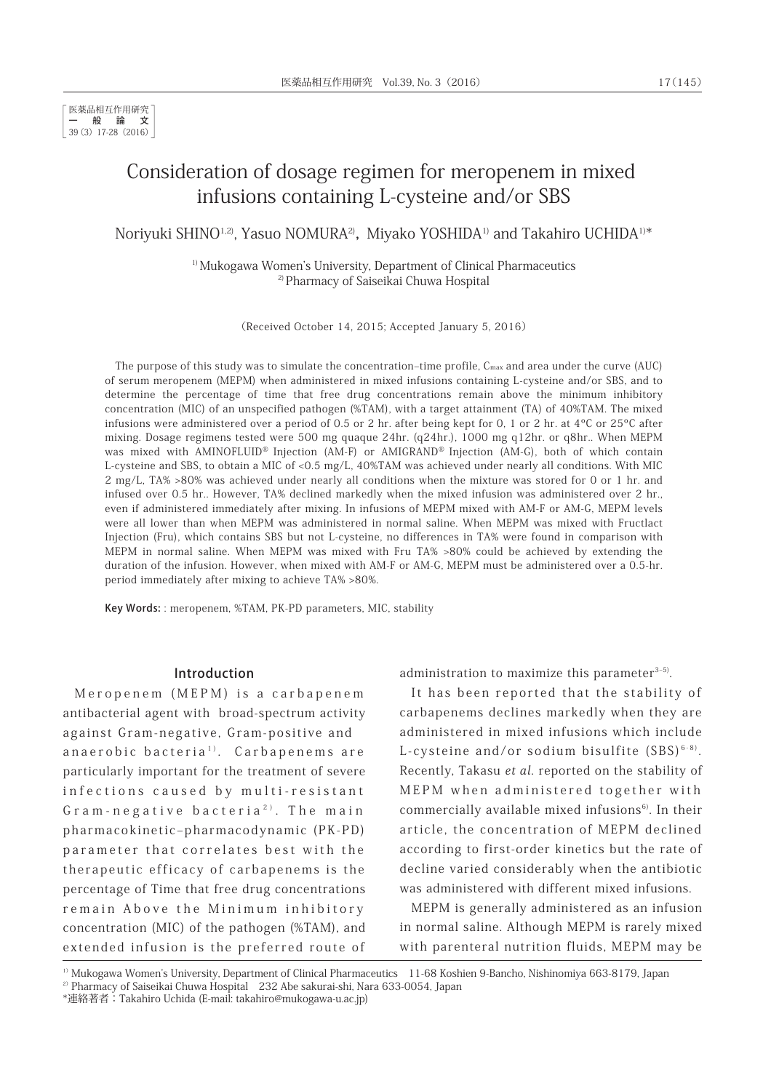# Consideration of dosage regimen for meropenem in mixed infusions containing L-cysteine and/or SBS

Noriyuki SHINO<sup>1,2)</sup>, Yasuo NOMURA<sup>2)</sup>, Miyako YOSHIDA<sup>1)</sup> and Takahiro UCHIDA<sup>1)\*</sup>

<sup>1)</sup> Mukogawa Women's University, Department of Clinical Pharmaceutics 2) Pharmacy of Saiseikai Chuwa Hospital

(Received October 14, 2015; Accepted January 5, 2016)

The purpose of this study was to simulate the concentration–time profile,  $C_{\text{max}}$  and area under the curve (AUC) of serum meropenem (MEPM) when administered in mixed infusions containing L-cysteine and/or SBS, and to determine the percentage of time that free drug concentrations remain above the minimum inhibitory concentration (MIC) of an unspecified pathogen (%TAM), with a target attainment (TA) of 40%TAM. The mixed infusions were administered over a period of 0.5 or 2 hr. after being kept for 0, 1 or 2 hr. at 4ºC or 25ºC after mixing. Dosage regimens tested were 500 mg quaque 24hr. (q24hr.), 1000 mg q12hr. or q8hr.. When MEPM was mixed with AMINOFLUID<sup>®</sup> Injection (AM-F) or AMIGRAND<sup>®</sup> Injection (AM-G), both of which contain L-cysteine and SBS, to obtain a MIC of <0.5 mg/L, 40%TAM was achieved under nearly all conditions. With MIC 2 mg/L, TA% >80% was achieved under nearly all conditions when the mixture was stored for 0 or 1 hr. and infused over 0.5 hr.. However, TA% declined markedly when the mixed infusion was administered over 2 hr., even if administered immediately after mixing. In infusions of MEPM mixed with AM-F or AM-G, MEPM levels were all lower than when MEPM was administered in normal saline. When MEPM was mixed with Fructlact Injection (Fru), which contains SBS but not L-cysteine, no differences in TA% were found in comparison with MEPM in normal saline. When MEPM was mixed with Fru TA% >80% could be achieved by extending the duration of the infusion. However, when mixed with AM-F or AM-G, MEPM must be administered over a 0.5-hr. period immediately after mixing to achieve TA% >80%.

Key Words: : meropenem, %TAM, PK-PD parameters, MIC, stability

#### Introduction

Meropenem (MEPM) is a carbapenem antibacterial agent with broad-spectrum activity against Gram-negative, Gram-positive and anaerobic bacteria<sup>1)</sup>. Carbapenems are particularly important for the treatment of severe infections caused by multi-resistant Gram-negative bacteria<sup>2)</sup>. The main pharmacokinetic‒pharmacodynamic (PK-PD) parameter that correlates best with the therapeutic efficacy of carbapenems is the percentage of Time that free drug concentrations remain Above the Minimum inhibitory concentration (MIC) of the pathogen (%TAM), and extended infusion is the preferred route of administration to maximize this parameter $3-5$ .

It has been reported that the stability of carbapenems declines markedly when they are administered in mixed infusions which include L-cysteine and/or sodium bisulfite  $(SBS)^{6-8}$ . Recently, Takasu et al. reported on the stability of MEPM when administered together with commercially available mixed infusions<sup>6)</sup>. In their article, the concentration of MEPM declined according to first-order kinetics but the rate of decline varied considerably when the antibiotic was administered with different mixed infusions.

MEPM is generally administered as an infusion in normal saline. Although MEPM is rarely mixed with parenteral nutrition fluids, MEPM may be

 $1)$  Mukogawa Women's University, Department of Clinical Pharmaceutics 11-68 Koshien 9-Bancho, Nishinomiya 663-8179, Japan

<sup>2)</sup> Pharmacy of Saiseikai Chuwa Hospital 232 Abe sakurai-shi, Nara 633-0054, Japan

<sup>\*</sup>連絡著者:Takahiro Uchida (E-mail: takahiro@mukogawa-u.ac.jp)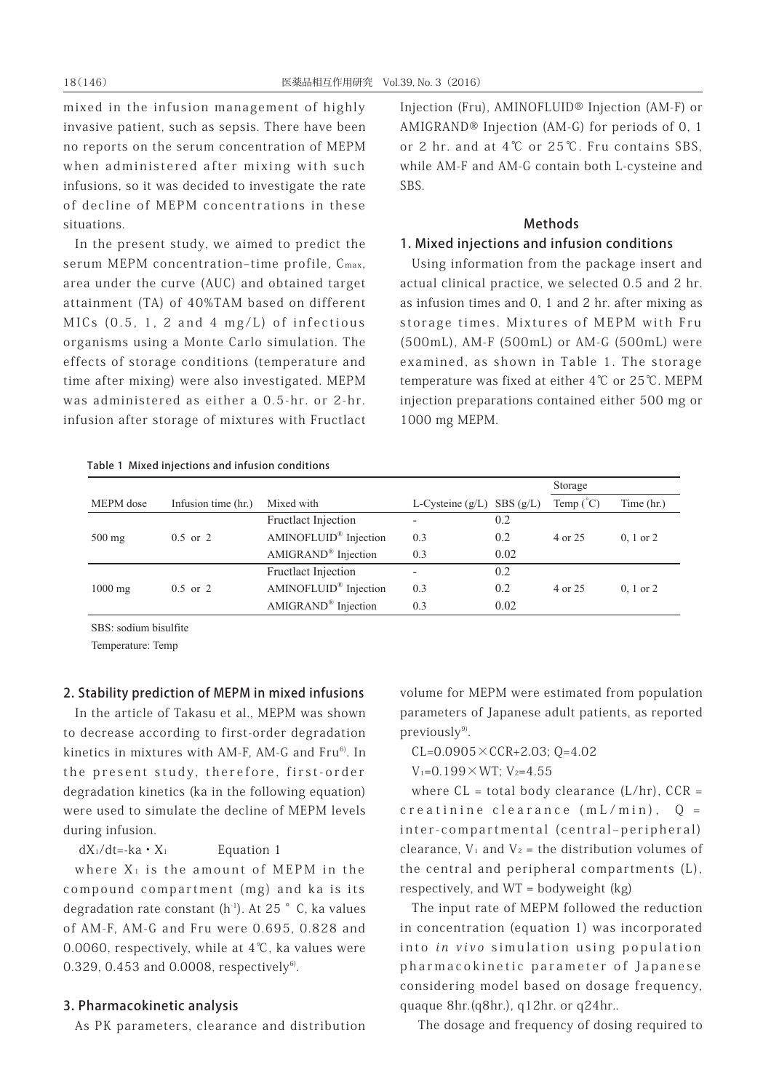mixed in the infusion management of highly invasive patient, such as sepsis. There have been no reports on the serum concentration of MEPM when administered after mixing with such infusions, so it was decided to investigate the rate of decline of MEPM concentrations in these situations.

In the present study, we aimed to predict the serum MEPM concentration-time profile, Cmax, area under the curve (AUC) and obtained target attainment (TA) of 40%TAM based on different MICs (0.5, 1, 2 and 4 mg/L) of infectious organisms using a Monte Carlo simulation. The effects of storage conditions (temperature and time after mixing) were also investigated. MEPM was administered as either a 0.5-hr. or 2-hr. infusion after storage of mixtures with Fructlact Injection (Fru), AMINOFLUID® Injection (AM-F) or AMIGRAND® Injection (AM-G) for periods of 0, 1 or 2 hr. and at 4℃ or 25℃. Fru contains SBS, while AM-F and AM-G contain both L-cysteine and SBS.

#### **Methods**

#### 1. Mixed injections and infusion conditions

Using information from the package insert and actual clinical practice, we selected 0.5 and 2 hr. as infusion times and 0, 1 and 2 hr. after mixing as storage times. Mixtures of MEPM with Fru (500mL), AM-F (500mL) or AM-G (500mL) were examined, as shown in Table 1. The storage temperature was fixed at either 4℃ or 25℃. MEPM injection preparations contained either 500 mg or 1000 mg MEPM.

| Table 1 Mixed injections and infusion conditions |  |
|--------------------------------------------------|--|
|--------------------------------------------------|--|

|                   |                     |                                   |                          |          | Storage            |                      |
|-------------------|---------------------|-----------------------------------|--------------------------|----------|--------------------|----------------------|
| MEPM dose         | Infusion time (hr.) | Mixed with                        | L-Cysteine $(g/L)$       | SBS(g/L) | Temp $(^{\circ}C)$ | Time (hr.)           |
|                   |                     | <b>Fructlact Injection</b>        | ۰.                       | 0.2      |                    |                      |
| $500 \text{ mg}$  | $0.5$ or 2          | AMINOFLUID <sup>®</sup> Injection | 0.3                      | 0.2      | 4 or 25            | $0, 1$ or $2$        |
|                   |                     | AMIGRAND <sup>®</sup> Injection   | 0.3                      | 0.02     |                    |                      |
|                   |                     | Fructlact Injection               | $\overline{\phantom{a}}$ | 0.2      |                    |                      |
| $1000 \text{ mg}$ | $0.5$ or 2          | AMINOFLUID <sup>®</sup> Injection | 0.3                      | 0.2      | 4 or 25            | $0, 1 \text{ or } 2$ |
|                   |                     | AMIGRAND <sup>®</sup> Injection   | 0.3                      | 0.02     |                    |                      |

SBS: sodium bisulfite

Temperature: Temp

### 2. Stability prediction of MEPM in mixed infusions

In the article of Takasu et al., MEPM was shown to decrease according to first-order degradation kinetics in mixtures with AM-F, AM-G and Fru<sup>6)</sup>. In the present study, therefore, first-order degradation kinetics (ka in the following equation) were used to simulate the decline of MEPM levels during infusion.

 $dX_1/dt = -ka \cdot X_1$  Equation 1

where  $X_1$  is the amount of MEPM in the compound compartment (mg) and ka is its degradation rate constant  $(h<sup>-1</sup>)$ . At 25 °C, ka values of AM-F, AM-G and Fru were 0.695, 0.828 and 0.0060, respectively, while at 4℃, ka values were 0.329, 0.453 and 0.0008, respectively $6$ .

### 3. Pharmacokinetic analysis

As PK parameters, clearance and distribution

volume for MEPM were estimated from population parameters of Japanese adult patients, as reported  $previously<sup>9</sup>$ .

 $CL=0.0905 \times CCR+2.03$ ;  $Q=4.02$ 

 $V_1 = 0.199 \times WT$ ;  $V_2 = 4.55$ 

where  $CL = total body clearance (L/hr)$ ,  $CCR =$ creatinine clearance (mL/min), Q = inter-compartmental (central-peripheral) clearance,  $V_1$  and  $V_2$  = the distribution volumes of the central and peripheral compartments (L), respectively, and WT = bodyweight (kg)

The input rate of MEPM followed the reduction in concentration (equation 1) was incorporated into in vivo simulation using population pharmacokinetic parameter of Japanese considering model based on dosage frequency, quaque 8hr.(q8hr.), q12hr. or q24hr..

The dosage and frequency of dosing required to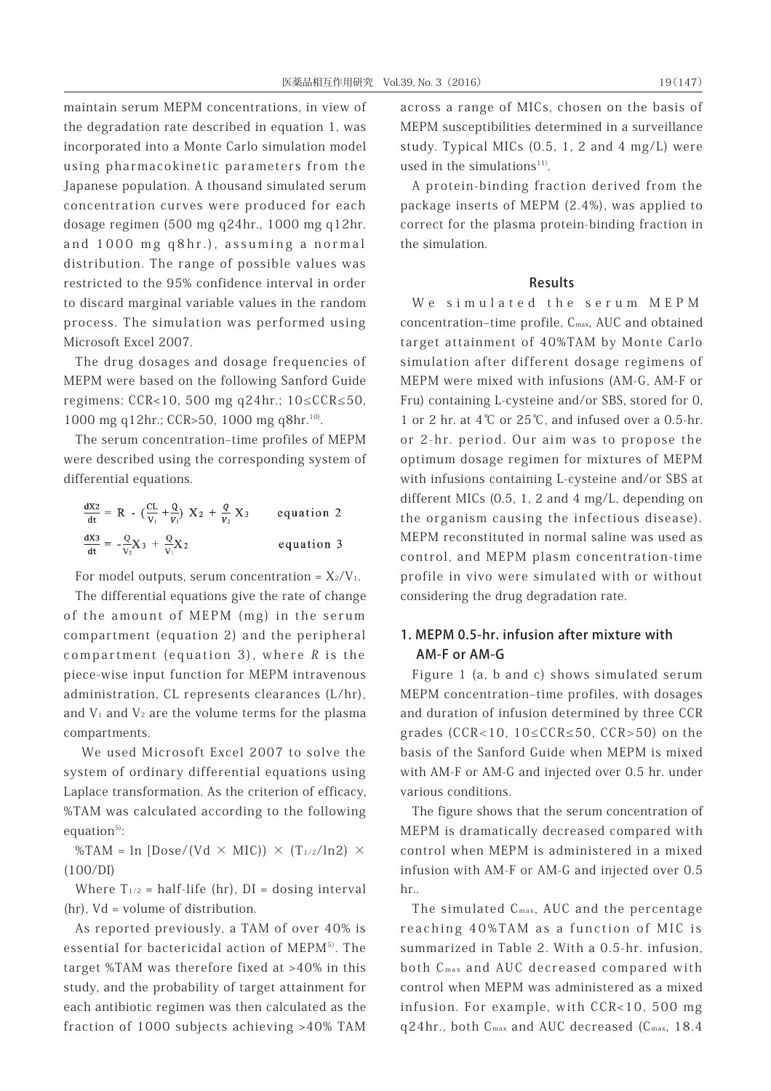maintain serum MEPM concentrations, in view of the degradation rate described in equation 1, was incorporated into a Monte Carlo simulation model using pharmacokinetic parameters from the Japanese population. A thousand simulated serum concentration curves were produced for each dosage regimen (500 mg q24hr., 1000 mg q12hr. and 1000 mg q8hr.), assuming a normal distribution. The range of possible values was restricted to the 95% confidence interval in order to discard marginal variable values in the random process. The simulation was performed using Microsoft Excel 2007.

The drug dosages and dosage frequencies of MEPM were based on the following Sanford Guide regimens: CCR<10, 500 mg q24hr.; 10≤CCR≤50, 1000 mg q12hr.; CCR>50, 1000 mg q8hr.<sup>10)</sup>.

The serum concentration-time profiles of MEPM were described using the corresponding system of differential equations.

| $\frac{dX2}{dt} = R - (\frac{CL}{V_1} + \frac{Q}{V_1}) X_2 + \frac{Q}{V_2} X_3$ | equation 2 |
|---------------------------------------------------------------------------------|------------|
| $\frac{dX3}{dt} = -\frac{Q}{V_2}X_3 + \frac{Q}{V_1}X_2$                         | equation 3 |

For model outputs, serum concentration =  $X_2/V_1$ .

The differential equations give the rate of change of the amount of MEPM (mg) in the serum compartment (equation 2) and the peripheral compartment (equation 3), where R is the piece-wise input function for MEPM intravenous administration, CL represents clearances (L/hr), and  $V_1$  and  $V_2$  are the volume terms for the plasma compartments.

 We used Microsoft Excel 2007 to solve the system of ordinary differential equations using Laplace transformation. As the criterion of efficacy, %TAM was calculated according to the following equation $5$ :

%TAM =  $\ln$  [Dose/(Vd  $\times$  MIC))  $\times$  (T<sub>1/2</sub>/ln2)  $\times$ (100/DI)

Where  $T_{1/2}$  = half-life (hr),  $DI =$  dosing interval (hr), Vd = volume of distribution.

As reported previously, a TAM of over 40% is essential for bactericidal action of MEPM<sup>5)</sup>. The target %TAM was therefore fixed at >40% in this study, and the probability of target attainment for each antibiotic regimen was then calculated as the fraction of 1000 subjects achieving >40% TAM

across a range of MICs, chosen on the basis of MEPM susceptibilities determined in a surveillance study. Typical MICs (0.5, 1, 2 and 4 mg/L) were used in the simulations $11$ <sup>11</sup>.

A protein-binding fraction derived from the package inserts of MEPM (2.4%), was applied to correct for the plasma protein-binding fraction in the simulation.

#### Results

We simulated the serum MEPM concentration-time profile, C<sub>max</sub>, AUC and obtained target attainment of 40%TAM by Monte Carlo simulation after different dosage regimens of MEPM were mixed with infusions (AM-G, AM-F or Fru) containing L-cysteine and/or SBS, stored for 0, 1 or 2 hr. at 4℃ or 25℃, and infused over a 0.5-hr. or 2-hr. period. Our aim was to propose the optimum dosage regimen for mixtures of MEPM with infusions containing L-cysteine and/or SBS at different MICs (0.5, 1, 2 and 4 mg/L, depending on the organism causing the infectious disease). MEPM reconstituted in normal saline was used as control, and MEPM plasm concentration-time profile in vivo were simulated with or without considering the drug degradation rate.

# 1. MEPM 0.5-hr. infusion after mixture with AM-F or AM-G

Figure 1 (a, b and c) shows simulated serum MEPM concentration-time profiles, with dosages and duration of infusion determined by three CCR grades (CCR<10, 10≤CCR≤50, CCR>50) on the basis of the Sanford Guide when MEPM is mixed with AM-F or AM-G and injected over 0.5 hr. under various conditions.

The figure shows that the serum concentration of MEPM is dramatically decreased compared with control when MEPM is administered in a mixed infusion with AM-F or AM-G and injected over 0.5 hr..

The simulated  $C_{\text{max}}$ , AUC and the percentage reaching 40%TAM as a function of MIC is summarized in Table 2. With a 0.5-hr. infusion, both C<sub>max</sub> and AUC decreased compared with control when MEPM was administered as a mixed infusion. For example, with CCR<10, 500 mg q24hr., both Cmax and AUC decreased (Cmax, 18.4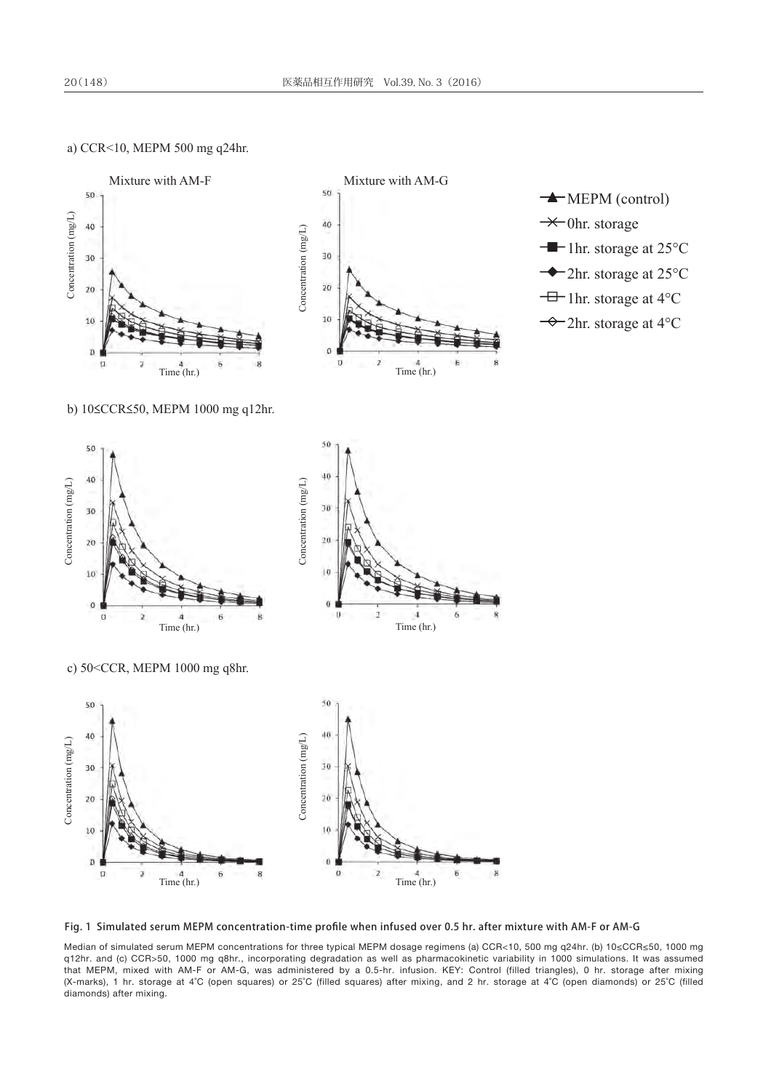#### a) CCR<10, MEPM 500 mg q24hr.



Fig. 1 Simulated serum MEPM concentration-time profile when infused over 0.5 hr. after mixture with AM-F or AM-G

Median of simulated serum MEPM concentrations for three typical MEPM dosage regimens (a) CCR<10, 500 mg q24hr. (b) 10≤CCR≤50, 1000 mg q12hr. and (c) CCR>50, 1000 mg q8hr., incorporating degradation as well as pharmacokinetic variability in 1000 simulations. It was assumed that MEPM, mixed with AM-F or AM-G, was administered by a 0.5-hr. infusion. KEY: Control (filled triangles), 0 hr. storage after mixing (X-marks), 1 hr. storage at 4˚C (open squares) or 25˚C (filled squares) after mixing, and 2 hr. storage at 4˚C (open diamonds) or 25˚C (filled diamonds) after mixing.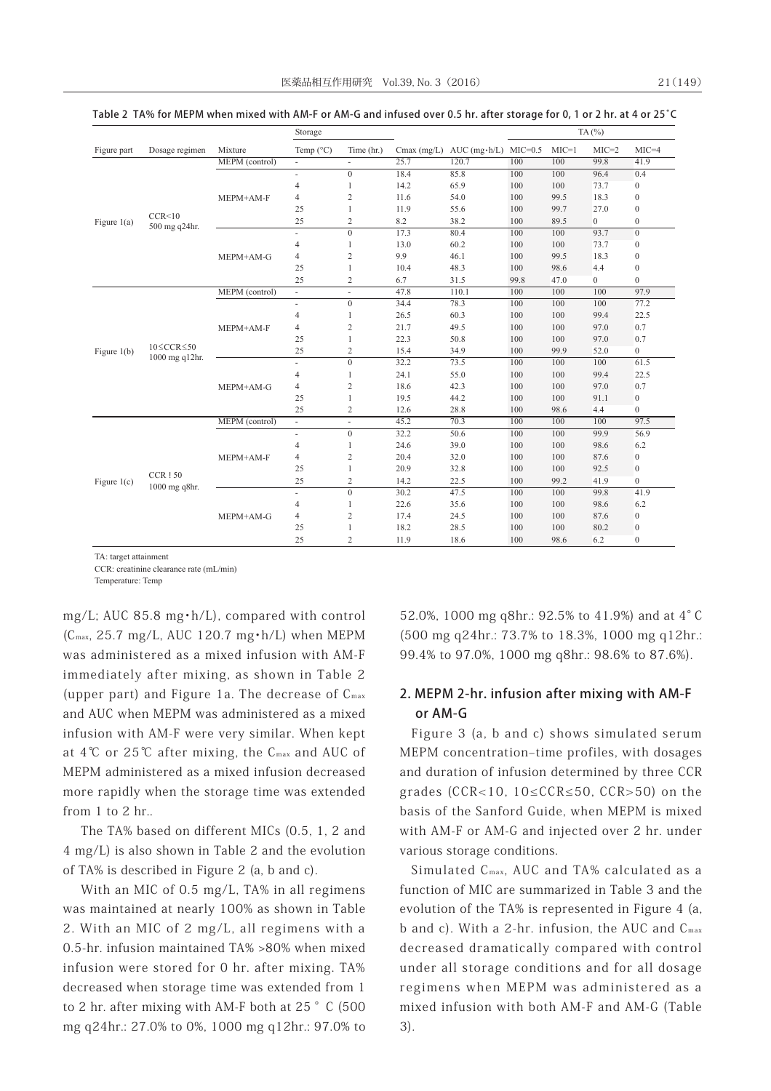|               |                                         |                | Storage                  |                |      |                                    |           |         | TA $(%)$         |                  |
|---------------|-----------------------------------------|----------------|--------------------------|----------------|------|------------------------------------|-----------|---------|------------------|------------------|
| Figure part   | Dosage regimen                          | Mixture        | Temp $(^{\circ}C)$       | Time (hr.)     |      | Cmax $(mg/L)$ AUC $(mg \cdot h/L)$ | $MIC=0.5$ | $MIC=1$ | $MIC=2$          | $MIC=4$          |
|               |                                         | MEPM (control) | $\overline{\phantom{a}}$ |                | 25.7 | 120.7                              | 100       | 100     | 99.8             | 41.9             |
|               |                                         |                | $\overline{\phantom{a}}$ | $\overline{0}$ | 18.4 | 85.8                               | 100       | 100     | 96.4             | 0.4              |
|               |                                         |                | $\overline{4}$           | 1              | 14.2 | 65.9                               | 100       | 100     | 73.7             | $\boldsymbol{0}$ |
|               |                                         | MEPM+AM-F      | 4                        | $\overline{2}$ | 11.6 | 54.0                               | 100       | 99.5    | 18.3             | $\boldsymbol{0}$ |
|               |                                         |                | 25                       | 1              | 11.9 | 55.6                               | 100       | 99.7    | 27.0             | $\boldsymbol{0}$ |
| Figure $1(a)$ | CCR<10<br>500 mg q24hr.                 |                | 25                       | $\overline{2}$ | 8.2  | 38.2                               | 100       | 89.5    | $\boldsymbol{0}$ | $\boldsymbol{0}$ |
|               |                                         |                | ÷.                       | $\Omega$       | 17.3 | 80.4                               | 100       | 100     | 93.7             | $\mathbf{0}$     |
|               |                                         |                | 4                        | 1              | 13.0 | 60.2                               | 100       | 100     | 73.7             | $\boldsymbol{0}$ |
|               |                                         | MEPM+AM-G      | $\overline{4}$           | $\overline{c}$ | 9.9  | 46.1                               | 100       | 99.5    | 18.3             | $\boldsymbol{0}$ |
|               |                                         |                | 25                       | 1              | 10.4 | 48.3                               | 100       | 98.6    | 4.4              | $\boldsymbol{0}$ |
|               |                                         |                | 25                       | $\sqrt{2}$     | 6.7  | 31.5                               | 99.8      | 47.0    | $\boldsymbol{0}$ | $\mathbf{0}$     |
|               |                                         | MEPM (control) | $\overline{\phantom{a}}$ | ä,             | 47.8 | 110.1                              | 100       | 100     | 100              | 97.9             |
|               |                                         | MEPM+AM-F      | ÷.                       | $\Omega$       | 34.4 | 78.3                               | 100       | 100     | 100              | 77.2             |
|               |                                         |                | $\overline{4}$           | 1              | 26.5 | 60.3                               | 100       | 100     | 99.4             | 22.5             |
|               |                                         |                | $\overline{4}$           | $\overline{c}$ | 21.7 | 49.5                               | 100       | 100     | 97.0             | 0.7              |
|               | $10 \leq CCR \leq 50$<br>1000 mg q12hr. |                | 25                       | $\mathbf{1}$   | 22.3 | 50.8                               | 100       | 100     | 97.0             | 0.7              |
| Figure $1(b)$ |                                         |                | 25                       | $\overline{2}$ | 15.4 | 34.9                               | 100       | 99.9    | 52.0             | $\boldsymbol{0}$ |
|               |                                         |                | ÷.                       | $\overline{0}$ | 32.2 | 73.5                               | 100       | 100     | 100              | 61.5             |
|               |                                         |                | $\overline{4}$           | 1              | 24.1 | 55.0                               | 100       | 100     | 99.4             | 22.5             |
|               |                                         | MEPM+AM-G      | 4                        | $\overline{c}$ | 18.6 | 42.3                               | 100       | 100     | 97.0             | 0.7              |
|               |                                         |                | 25                       | 1              | 19.5 | 44.2                               | 100       | 100     | 91.1             | $\boldsymbol{0}$ |
|               |                                         |                | 25                       | $\overline{2}$ | 12.6 | 28.8                               | 100       | 98.6    | 4.4              | $\mathbf{0}$     |
|               |                                         | MEPM (control) | ÷,                       | ÷,             | 45.2 | 70.3                               | 100       | 100     | 100              | 97.5             |
|               |                                         |                | $\overline{\phantom{a}}$ | $\Omega$       | 32.2 | 50.6                               | 100       | 100     | 99.9             | 56.9             |
|               |                                         |                | $\overline{4}$           | 1              | 24.6 | 39.0                               | 100       | 100     | 98.6             | 6.2              |
|               |                                         | MEPM+AM-F      | $\overline{4}$           | $\overline{2}$ | 20.4 | 32.0                               | 100       | 100     | 87.6             | $\boldsymbol{0}$ |
|               | <b>CCR150</b>                           |                | 25                       | 1              | 20.9 | 32.8                               | 100       | 100     | 92.5             | $\boldsymbol{0}$ |
| Figure $1(c)$ | 1000 mg q8hr.                           |                | 25                       | $\overline{2}$ | 14.2 | 22.5                               | 100       | 99.2    | 41.9             | $\mathbf{0}$     |
|               |                                         |                | ÷.                       | $\Omega$       | 30.2 | 47.5                               | 100       | 100     | 99.8             | 41.9             |
|               |                                         |                | $\overline{4}$           | 1              | 22.6 | 35.6                               | 100       | 100     | 98.6             | 6.2              |
|               |                                         | MEPM+AM-G      | 4                        | $\sqrt{2}$     | 17.4 | 24.5                               | 100       | 100     | 87.6             | $\boldsymbol{0}$ |
|               |                                         |                | 25                       | 1              | 18.2 | 28.5                               | 100       | 100     | 80.2             | $\mathbf{0}$     |
|               |                                         |                | 25                       | $\overline{c}$ | 11.9 | 18.6                               | 100       | 98.6    | 6.2              | $\mathbf{0}$     |

Table 2 TA% for MEPM when mixed with AM-F or AM-G and infused over 0.5 hr. after storage for 0, 1 or 2 hr. at 4 or 25̊C

TA: target attainment

CCR: creatinine clearance rate (mL/min)

Temperature: Temp

mg/L; AUC 85.8 mg・h/L), compared with control  $(C_{\text{max}}, 25.7 \text{ mg/L}, \text{AUC } 120.7 \text{ mg} \cdot \text{h/L}$  when MEPM was administered as a mixed infusion with AM-F immediately after mixing, as shown in Table 2 (upper part) and Figure 1a. The decrease of  $C_{\text{max}}$ and AUC when MEPM was administered as a mixed infusion with AM-F were very similar. When kept at  $4^{\circ}$ C or  $25^{\circ}$ C after mixing, the C<sub>max</sub> and AUC of MEPM administered as a mixed infusion decreased more rapidly when the storage time was extended from 1 to 2 hr..

 The TA% based on different MICs (0.5, 1, 2 and 4 mg/L) is also shown in Table 2 and the evolution of TA% is described in Figure 2 (a, b and c).

 With an MIC of 0.5 mg/L, TA% in all regimens was maintained at nearly 100% as shown in Table 2. With an MIC of 2 mg/L, all regimens with a 0.5-hr. infusion maintained TA% >80% when mixed infusion were stored for 0 hr. after mixing. TA% decreased when storage time was extended from 1 to 2 hr. after mixing with AM-F both at  $25 \degree$  C (500 mg q24hr.: 27.0% to 0%, 1000 mg q12hr.: 97.0% to

52.0%, 1000 mg q8hr.: 92.5% to 41.9%) and at 4°C (500 mg q24hr.: 73.7% to 18.3%, 1000 mg q12hr.: 99.4% to 97.0%, 1000 mg q8hr.: 98.6% to 87.6%).

## 2. MEPM 2-hr. infusion after mixing with AM-F or AM-G

Figure 3 (a, b and c) shows simulated serum MEPM concentration-time profiles, with dosages and duration of infusion determined by three CCR grades ( $CCR < 10$ ,  $10 \leq CCR \leq 50$ ,  $CCR > 50$ ) on the basis of the Sanford Guide, when MEPM is mixed with AM-F or AM-G and injected over 2 hr. under various storage conditions.

Simulated C<sub>max</sub>, AUC and TA% calculated as a function of MIC are summarized in Table 3 and the evolution of the TA% is represented in Figure 4 (a, b and c). With a 2-hr. infusion, the AUC and  $C_{\text{max}}$ decreased dramatically compared with control under all storage conditions and for all dosage regimens when MEPM was administered as a mixed infusion with both AM-F and AM-G (Table 3).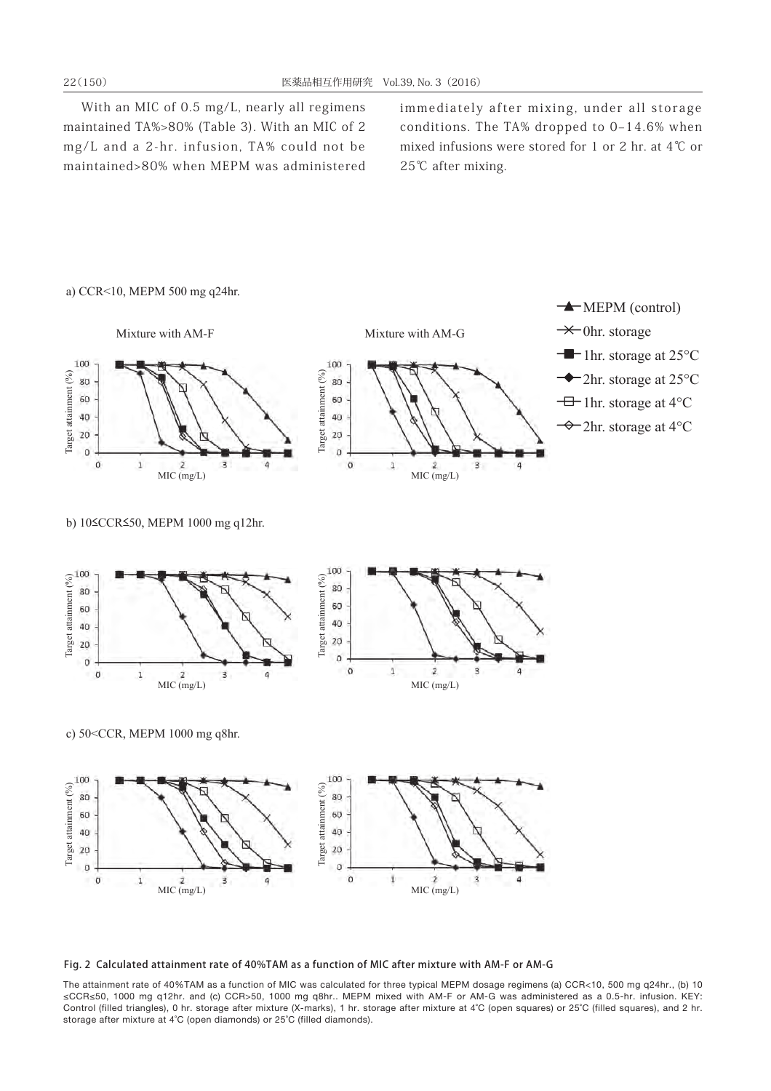With an MIC of 0.5 mg/L, nearly all regimens maintained TA%>80% (Table 3). With an MIC of 2 mg/L and a 2-hr. infusion, TA% could not be maintained>80% when MEPM was administered

immediately after mixing, under all storage conditions. The TA% dropped to  $0-14.6\%$  when mixed infusions were stored for 1 or 2 hr. at 4℃ or 25℃ after mixing.



#### Fig. 2 Calculated attainment rate of 40%TAM as a function of MIC after mixture with AM-F or AM-G

The attainment rate of 40%TAM as a function of MIC was calculated for three typical MEPM dosage regimens (a) CCR<10, 500 mg q24hr., (b) 10 ≤CCR≤50, 1000 mg q12hr. and (c) CCR>50, 1000 mg q8hr.. MEPM mixed with AM-F or AM-G was administered as a 0.5-hr. infusion. KEY: Control (filled triangles), 0 hr. storage after mixture (X-marks), 1 hr. storage after mixture at 4˚C (open squares) or 25˚C (filled squares), and 2 hr. storage after mixture at 4˚C (open diamonds) or 25˚C (filled diamonds).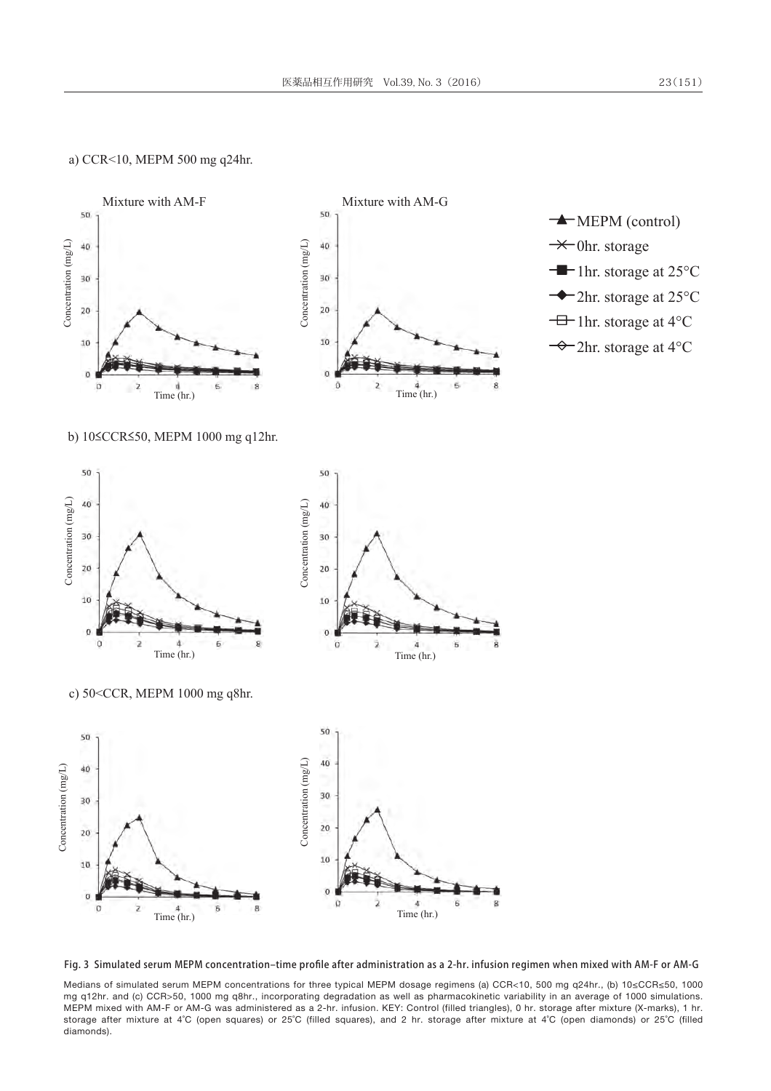#### a) CCR<10, MEPM 500 mg q24hr.



Fig. 3 Simulated serum MEPM concentration-time profile after administration as a 2-hr. infusion regimen when mixed with AM-F or AM-G

Medians of simulated serum MEPM concentrations for three typical MEPM dosage regimens (a) CCR<10, 500 mg q24hr., (b) 10≤CCR≤50, 1000 mg q12hr. and (c) CCR>50, 1000 mg q8hr., incorporating degradation as well as pharmacokinetic variability in an average of 1000 simulations. MEPM mixed with AM-F or AM-G was administered as a 2-hr. infusion. KEY: Control (filled triangles), 0 hr. storage after mixture (X-marks), 1 hr. storage after mixture at 4˚C (open squares) or 25˚C (filled squares), and 2 hr. storage after mixture at 4˚C (open diamonds) or 25˚C (filled diamonds).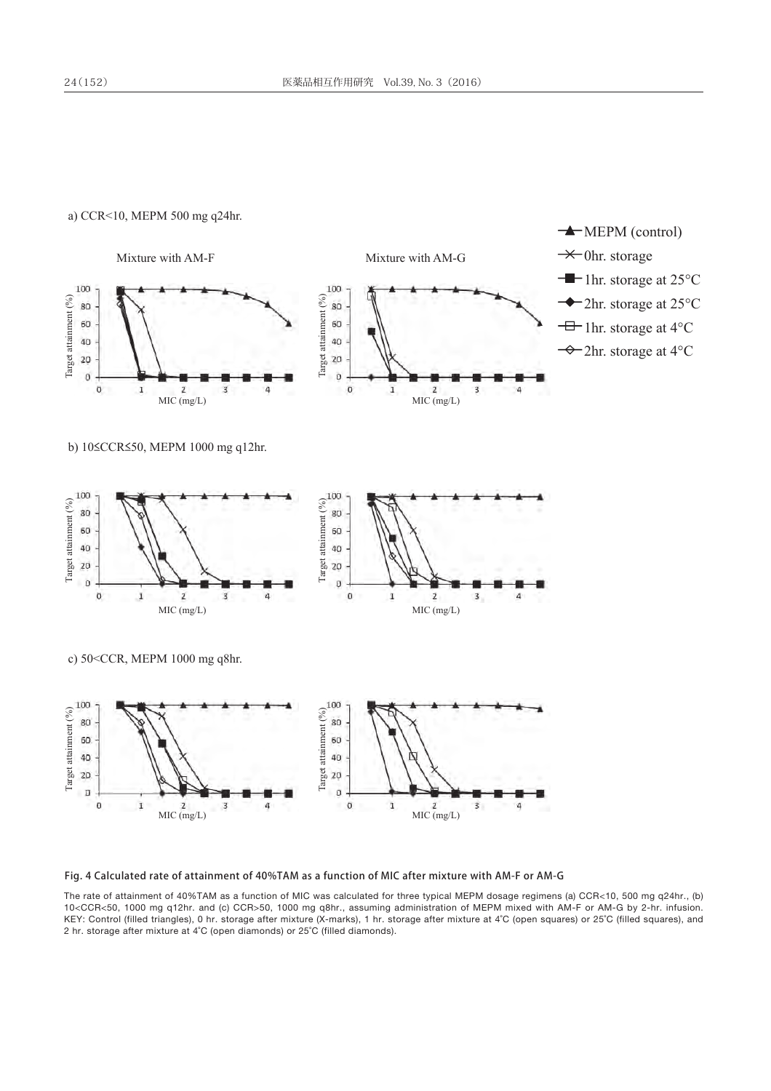#### a) CCR<10, MEPM 500 mg q24hr.



Fig. 4 Calculated rate of attainment of 40%TAM as a function of MIC after mixture with AM-F or AM-G

The rate of attainment of 40%TAM as a function of MIC was calculated for three typical MEPM dosage regimens (a) CCR<10, 500 mg q24hr., (b) 10<CCR<50, 1000 mg q12hr. and (c) CCR>50, 1000 mg q8hr., assuming administration of MEPM mixed with AM-F or AM-G by 2-hr. infusion. KEY: Control (filled triangles), 0 hr. storage after mixture (X-marks), 1 hr. storage after mixture at 4°C (open squares) or 25°C (filled squares), and 2 hr. storage after mixture at 4˚C (open diamonds) or 25˚C (filled diamonds).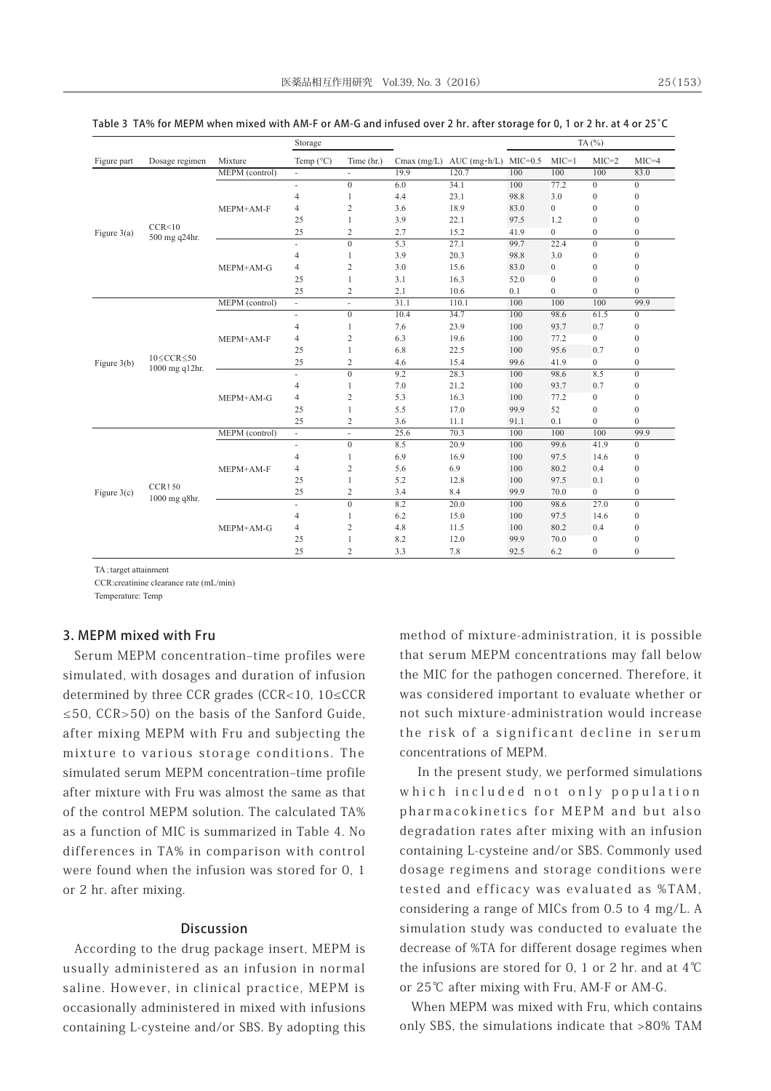|               |                                         |                | Storage                  |                         |                |                                          |      |                  | TA(%)            |                  |          |
|---------------|-----------------------------------------|----------------|--------------------------|-------------------------|----------------|------------------------------------------|------|------------------|------------------|------------------|----------|
| Figure part   | Dosage regimen                          | Mixture        | Temp $(^{\circ}C)$       | Time (hr.)              |                | Cmax (mg/L) AUC (mg $\cdot$ h/L) MIC=0.5 |      | $MIC=1$          | $MIC=2$          | $MIC=4$          |          |
|               |                                         | MEPM (control) | $\overline{\phantom{a}}$ | ÷.                      | 19.9           | 120.7                                    | 100  | 100              | 100              | 83.0             |          |
|               |                                         |                | $\overline{\phantom{a}}$ | $\overline{0}$          | 6.0            | 34.1                                     | 100  | 77.2             | $\overline{0}$   | $\mathbf{0}$     |          |
|               |                                         |                | $\overline{4}$           | 1                       | 4.4            | 23.1                                     | 98.8 | 3.0              | $\mathbf{0}$     | $\mathbf{0}$     |          |
|               |                                         | MEPM+AM-F      | 4                        | $\overline{\mathbf{c}}$ | 3.6            | 18.9                                     | 83.0 | $\mathbf{0}$     | $\mathbf{0}$     | $\mathbf{0}$     |          |
|               |                                         |                | 25                       | 1                       | 3.9            | 22.1                                     | 97.5 | 1.2              | $\mathbf{0}$     | $\mathbf{0}$     |          |
| Figure $3(a)$ | CCR < 10<br>500 mg q24hr.               |                | 25                       | $\overline{c}$          | 2.7            | 15.2                                     | 41.9 | $\overline{0}$   | $\boldsymbol{0}$ | $\boldsymbol{0}$ |          |
|               |                                         |                | $\overline{\phantom{a}}$ | $\Omega$                | 5.3            | 27.1                                     | 99.7 | 22.4             | $\theta$         | $\Omega$         |          |
|               |                                         |                | $\overline{4}$           | 1                       | 3.9            | 20.3                                     | 98.8 | 3.0              | $\mathbf{0}$     | $\boldsymbol{0}$ |          |
|               |                                         | MEPM+AM-G      | $\overline{4}$           | $\overline{c}$          | 3.0            | 15.6                                     | 83.0 | $\boldsymbol{0}$ | $\boldsymbol{0}$ | $\boldsymbol{0}$ |          |
|               |                                         |                | 25                       | 1                       | 3.1            | 16.3                                     | 52.0 | $\mathbf{0}$     | $\mathbf{0}$     | $\mathbf{0}$     |          |
|               |                                         |                | 25                       | $\overline{c}$          | 2.1            | 10.6                                     | 0.1  | $\mathbf{0}$     | $\mathbf{0}$     | $\mathbf{0}$     |          |
|               |                                         | MEPM (control) | $\overline{\phantom{a}}$ | ä,                      | 31.1           | 110.1                                    | 100  | 100              | 100              | 99.9             |          |
|               |                                         | MEPM+AM-F      | $\overline{\phantom{a}}$ | $\Omega$                | 10.4           | 34.7                                     | 100  | 98.6             | 61.5             | $\mathbf{0}$     |          |
|               |                                         |                | $\overline{4}$           | 1                       | 7.6            | 23.9                                     | 100  | 93.7             | 0.7              | $\boldsymbol{0}$ |          |
|               |                                         |                | $\overline{4}$           | $\overline{c}$          | 6.3            | 19.6                                     | 100  | 77.2             | $\boldsymbol{0}$ | $\boldsymbol{0}$ |          |
|               | $10 \leq CCR \leq 50$<br>1000 mg q12hr. |                | 25                       | 1                       | 6.8            | 22.5                                     | 100  | 95.6             | 0.7              | $\boldsymbol{0}$ |          |
| Figure $3(b)$ |                                         |                | 25                       | $\overline{c}$          | 4.6            | 15.4                                     | 99.6 | 41.9             | $\overline{0}$   | $\boldsymbol{0}$ |          |
|               |                                         |                | ×.                       | $\overline{0}$          | 9.2            | 28.3                                     | 100  | 98.6             | 8.5              | $\boldsymbol{0}$ |          |
|               |                                         |                | $\overline{4}$           | 1                       | 7.0            | 21.2                                     | 100  | 93.7             | 0.7              | $\mathbf{0}$     |          |
|               |                                         | MEPM+AM-G      | 4                        | $\overline{\mathbf{c}}$ | 5.3            | 16.3                                     | 100  | 77.2             | $\mathbf{0}$     | $\boldsymbol{0}$ |          |
|               |                                         |                | 25                       | 1                       | 5.5            | 17.0                                     | 99.9 | 52               | $\boldsymbol{0}$ | $\boldsymbol{0}$ |          |
|               |                                         |                | 25                       | $\overline{c}$          | 3.6            | 11.1                                     | 91.1 | 0.1              | $\mathbf{0}$     | $\Omega$         |          |
|               |                                         | MEPM (control) | $\overline{\phantom{a}}$ | ÷.                      | 25.6           | 70.3                                     | 100  | 100              | 100              | 99.9             |          |
|               |                                         |                | $\overline{\phantom{a}}$ | $\mathbf{0}$            | 8.5            | 20.9                                     | 100  | 99.6             | 41.9             | $\mathbf{0}$     |          |
|               |                                         |                | $\overline{4}$           | 1                       | 6.9            | 16.9                                     | 100  | 97.5             | 14.6             | $\boldsymbol{0}$ |          |
|               |                                         | MEPM+AM-F      | 4                        | $\overline{c}$          | 5.6            | 6.9                                      | 100  | 80.2             | 0.4              | $\mathbf{0}$     |          |
|               | <b>CCR150</b>                           |                | 25                       | 1                       | 5.2            | 12.8                                     | 100  | 97.5             | 0.1              | $\mathbf{0}$     |          |
| Figure $3(c)$ | 1000 mg q8hr.                           |                | 25                       | 2                       | 3.4            | 8.4                                      | 99.9 | 70.0             | $\overline{0}$   | $\boldsymbol{0}$ |          |
|               |                                         |                | $\omega$                 | $\overline{0}$          | 8.2            | 20.0                                     | 100  | 98.6             | 27.0             | $\mathbf{0}$     |          |
|               |                                         |                | $\overline{4}$           | 1                       | 6.2            | 15.0                                     | 100  | 97.5             | 14.6             | $\boldsymbol{0}$ |          |
|               |                                         | MEPM+AM-G      | $\overline{4}$           | $\overline{c}$          | 4.8            | 11.5                                     | 100  | 80.2             | 0.4              | $\boldsymbol{0}$ |          |
|               |                                         |                | 25                       | 1                       | 8.2            | 12.0                                     | 99.9 | 70.0             | $\mathbf{0}$     | $\boldsymbol{0}$ |          |
|               |                                         |                |                          | 25                      | $\overline{c}$ | 3.3                                      | 7.8  | 92.5             | 6.2              | $\Omega$         | $\theta$ |

|  |  | Table 3 TA% for MEPM when mixed with AM-F or AM-G and infused over 2 hr. after storage for 0, 1 or 2 hr. at 4 or 25 °C |  |  |  |  |  |
|--|--|------------------------------------------------------------------------------------------------------------------------|--|--|--|--|--|
|--|--|------------------------------------------------------------------------------------------------------------------------|--|--|--|--|--|

TA : target attainment

CCR:creatinine clearance rate (mL/min)

Temperature: Temp

#### 3. MEPM mixed with Fru

Serum MEPM concentration-time profiles were simulated, with dosages and duration of infusion determined by three CCR grades (CCR<10, 10≤CCR ≤50, CCR>50) on the basis of the Sanford Guide, after mixing MEPM with Fru and subjecting the mixture to various storage conditions. The simulated serum MEPM concentration-time profile after mixture with Fru was almost the same as that of the control MEPM solution. The calculated TA% as a function of MIC is summarized in Table 4. No differences in TA% in comparison with control were found when the infusion was stored for 0, 1 or 2 hr. after mixing.

#### Discussion

According to the drug package insert, MEPM is usually administered as an infusion in normal saline. However, in clinical practice, MEPM is occasionally administered in mixed with infusions containing L-cysteine and/or SBS. By adopting this method of mixture-administration, it is possible that serum MEPM concentrations may fall below the MIC for the pathogen concerned. Therefore, it was considered important to evaluate whether or not such mixture-administration would increase the risk of a significant decline in serum concentrations of MEPM.

 In the present study, we performed simulations which included not only population pharmacokinetics for MEPM and but also degradation rates after mixing with an infusion containing L-cysteine and/or SBS. Commonly used dosage regimens and storage conditions were tested and efficacy was evaluated as %TAM, considering a range of MICs from 0.5 to 4 mg/L. A simulation study was conducted to evaluate the decrease of %TA for different dosage regimes when the infusions are stored for 0, 1 or 2 hr. and at 4℃ or 25℃ after mixing with Fru, AM-F or AM-G.

When MEPM was mixed with Fru, which contains only SBS, the simulations indicate that >80% TAM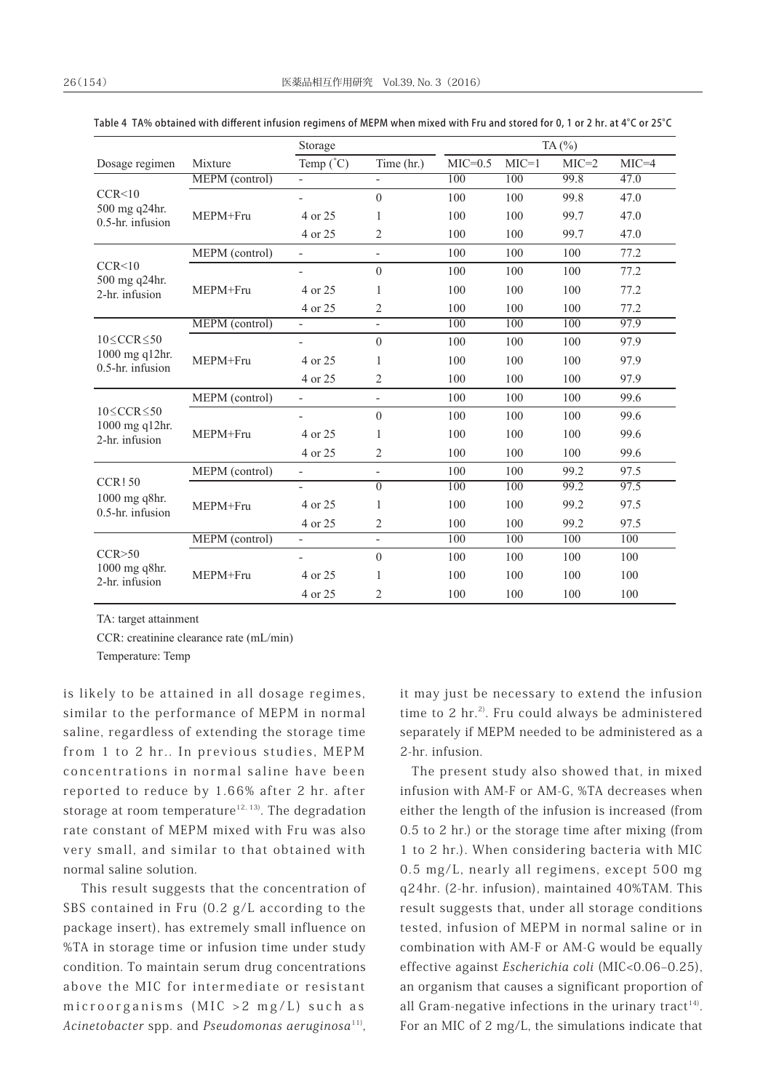|                                        |                | Storage                  |                              | TA $(%)$  |         |         |         |  |
|----------------------------------------|----------------|--------------------------|------------------------------|-----------|---------|---------|---------|--|
| Dosage regimen                         | Mixture        | Temp $(^{\circ}C)$       | Time (hr.)                   | $MIC=0.5$ | $MIC=1$ | $MIC=2$ | $MIC=4$ |  |
|                                        | MEPM (control) | $\bar{a}$                | $\overline{a}$               | 100       | 100     | 99.8    | 47.0    |  |
| CCR < 10                               |                |                          | $\theta$                     | 100       | 100     | 99.8    | 47.0    |  |
| 500 mg q24hr.<br>$0.5$ -hr. infusion   | MEPM+Fru       | 4 or 25                  | 1                            | 100       | 100     | 99.7    | 47.0    |  |
|                                        |                | 4 or 25                  | $\overline{2}$               | 100       | 100     | 99.7    | 47.0    |  |
|                                        | MEPM (control) | $\overline{\phantom{a}}$ | $\overline{\phantom{a}}$     | 100       | 100     | 100     | 77.2    |  |
| CCR<10                                 |                | $\overline{\phantom{0}}$ | $\overline{0}$               | 100       | 100     | 100     | 77.2    |  |
| 500 mg q24hr.<br>2-hr. infusion        | MEPM+Fru       | 4 or 25                  | 1                            | 100       | 100     | 100     | 77.2    |  |
|                                        |                | 4 or 25                  | 2                            | 100       | 100     | 100     | 77.2    |  |
|                                        | MEPM (control) | $\overline{\phantom{a}}$ | $\overline{\phantom{a}}$     | 100       | 100     | 100     | 97.9    |  |
| $10 \leq CCR \leq 50$                  |                |                          | $\theta$                     | 100       | 100     | 100     | 97.9    |  |
| 1000 mg q12hr.<br>0.5-hr. infusion     | MEPM+Fru       | 4 or 25                  | 1                            | 100       | 100     | 100     | 97.9    |  |
|                                        |                | 4 or 25                  | $\overline{2}$               | 100       | 100     | 100     | 97.9    |  |
|                                        | MEPM (control) | $\overline{\phantom{a}}$ | $\qquad \qquad \blacksquare$ | 100       | 100     | 100     | 99.6    |  |
| $10 \leq CCR \leq 50$                  |                |                          | $\theta$                     | 100       | 100     | 100     | 99.6    |  |
| 1000 mg q12hr.<br>2-hr. infusion       | MEPM+Fru       | 4 or 25                  | 1                            | 100       | 100     | 100     | 99.6    |  |
|                                        |                | 4 or 25                  | 2                            | 100       | 100     | 100     | 99.6    |  |
|                                        | MEPM (control) | $\overline{\phantom{a}}$ | $\overline{\phantom{a}}$     | 100       | 100     | 99.2    | 97.5    |  |
| $CCR$ ! 50                             |                | $\overline{\phantom{0}}$ | $\overline{0}$               | 100       | 100     | 99.2    | 97.5    |  |
| $1000$ mg q8hr.<br>$0.5$ -hr. infusion | MEPM+Fru       | 4 or 25                  | 1                            | 100       | 100     | 99.2    | 97.5    |  |
|                                        |                | 4 or 25                  | 2                            | 100       | 100     | 99.2    | 97.5    |  |
|                                        | MEPM (control) |                          | $\bar{a}$                    | 100       | 100     | 100     | 100     |  |
| CCR > 50                               |                |                          | $\boldsymbol{0}$             | 100       | 100     | 100     | 100     |  |
| 1000 mg q8hr.<br>2-hr. infusion        | MEPM+Fru       | 4 or 25                  | 1                            | 100       | 100     | 100     | 100     |  |
|                                        |                | 4 or 25                  | $\overline{2}$               | 100       | 100     | 100     | 100     |  |

Table 4 TA% obtained with different infusion regimens of MEPM when mixed with Fru and stored for 0, 1 or 2 hr. at 4°C or 25°C

TA: target attainment

CCR: creatinine clearance rate (mL/min)

Temperature: Temp

is likely to be attained in all dosage regimes, similar to the performance of MEPM in normal saline, regardless of extending the storage time from 1 to 2 hr.. In previous studies, MEPM concentrations in normal saline have been reported to reduce by 1.66% after 2 hr. after storage at room temperature<sup>12, 13)</sup>. The degradation rate constant of MEPM mixed with Fru was also very small, and similar to that obtained with normal saline solution.

 This result suggests that the concentration of SBS contained in Fru (0.2 g/L according to the package insert), has extremely small influence on %TA in storage time or infusion time under study condition. To maintain serum drug concentrations above the MIC for intermediate or resistant microorganisms (MIC >2 mg/L) such as Acinetobacter spp. and Pseudomonas aeruginos $a^{11}$ ,

it may just be necessary to extend the infusion time to 2 hr.<sup>2)</sup>. Fru could always be administered separately if MEPM needed to be administered as a 2-hr. infusion.

The present study also showed that, in mixed infusion with AM-F or AM-G, %TA decreases when either the length of the infusion is increased (from 0.5 to 2 hr.) or the storage time after mixing (from 1 to 2 hr.). When considering bacteria with MIC 0.5 mg/L, nearly all regimens, except 500 mg q24hr. (2-hr. infusion), maintained 40%TAM. This result suggests that, under all storage conditions tested, infusion of MEPM in normal saline or in combination with AM-F or AM-G would be equally effective against Escherichia coli (MIC<0.06-0.25), an organism that causes a significant proportion of all Gram-negative infections in the urinary tract<sup>14)</sup>. For an MIC of 2 mg/L, the simulations indicate that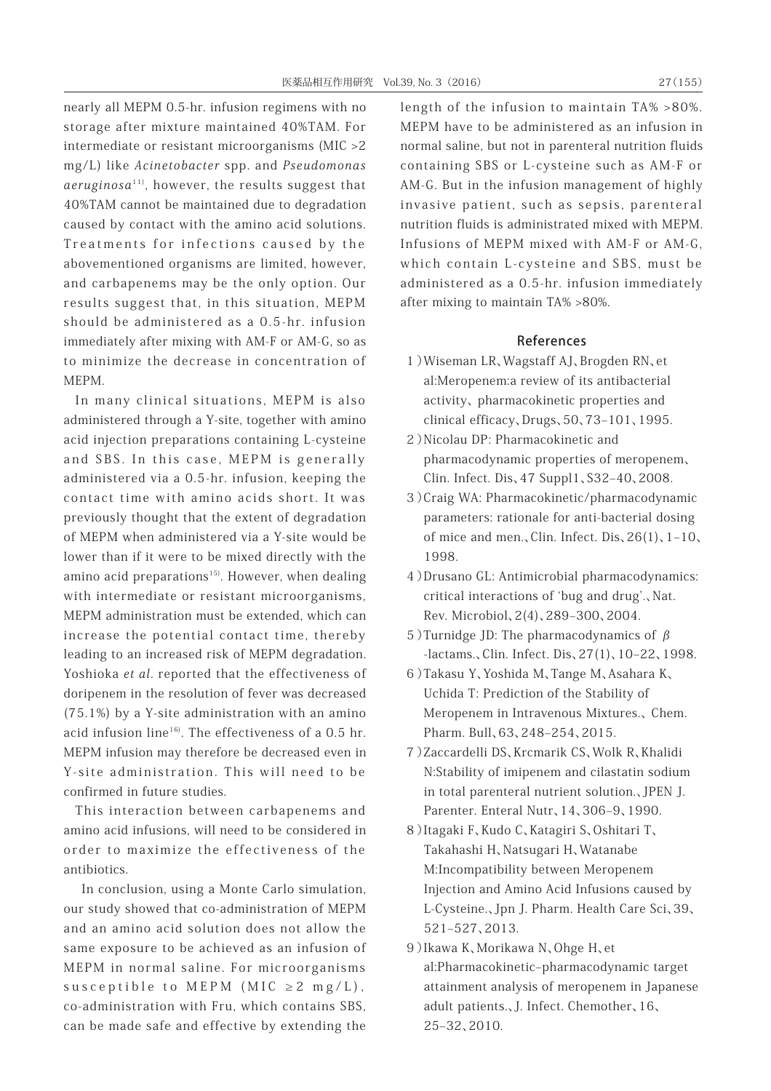nearly all MEPM 0.5-hr. infusion regimens with no storage after mixture maintained 40%TAM. For intermediate or resistant microorganisms (MIC >2 mg/L) like Acinetobacter spp. and Pseudomonas  $aeruginosa<sup>11</sup>$ , however, the results suggest that 40%TAM cannot be maintained due to degradation caused by contact with the amino acid solutions. Treatments for infections caused by the abovementioned organisms are limited, however, and carbapenems may be the only option. Our results suggest that, in this situation, MEPM should be administered as a 0.5-hr. infusion immediately after mixing with AM-F or AM-G, so as to minimize the decrease in concentration of MEPM.

In many clinical situations, MEPM is also administered through a Y-site, together with amino acid injection preparations containing L-cysteine and SBS. In this case, MEPM is generally administered via a 0.5-hr. infusion, keeping the contact time with amino acids short. It was previously thought that the extent of degradation of MEPM when administered via a Y-site would be lower than if it were to be mixed directly with the amino acid preparations<sup>15)</sup>. However, when dealing with intermediate or resistant microorganisms, MEPM administration must be extended, which can increase the potential contact time, thereby leading to an increased risk of MEPM degradation. Yoshioka et al. reported that the effectiveness of doripenem in the resolution of fever was decreased (75.1%) by a Y-site administration with an amino acid infusion line<sup>16)</sup>. The effectiveness of a  $0.5$  hr. MEPM infusion may therefore be decreased even in Y-site administration. This will need to be confirmed in future studies.

This interaction between carbapenems and amino acid infusions, will need to be considered in order to maximize the effectiveness of the antibiotics.

 In conclusion, using a Monte Carlo simulation, our study showed that co-administration of MEPM and an amino acid solution does not allow the same exposure to be achieved as an infusion of MEPM in normal saline. For microorganisms susceptible to MEPM (MIC  $\geq 2$  mg/L), co-administration with Fru, which contains SBS, can be made safe and effective by extending the length of the infusion to maintain TA% >80%. MEPM have to be administered as an infusion in normal saline, but not in parenteral nutrition fluids containing SBS or L-cysteine such as AM-F or AM-G. But in the infusion management of highly invasive patient, such as sepsis, parenteral nutrition fluids is administrated mixed with MEPM. Infusions of MEPM mixed with AM-F or AM-G, which contain L-cysteine and SBS, must be administered as a 0.5-hr. infusion immediately after mixing to maintain TA% >80%.

#### References

- 1)Wiseman LR、Wagstaff AJ、Brogden RN、et al:Meropenem:a review of its antibacterial activity、 pharmacokinetic properties and clinical efficacy、Drugs、50、73-101、1995.
- 2)Nicolau DP: Pharmacokinetic and pharmacodynamic properties of meropenem、 Clin. Infect. Dis、47 Suppl1、S32‒40、2008.
- 3)Craig WA: Pharmacokinetic/pharmacodynamic parameters: rationale for anti-bacterial dosing of mice and men., Clin. Infect. Dis,  $26(1)$ ,  $1-10$ , 1998.
- 4)Drusano GL: Antimicrobial pharmacodynamics: critical interactions of ʻbug and drug'.、Nat. Rev. Microbiol、2(4)、289‒300、2004.
- 5) Turnidge JD: The pharmacodynamics of  $β$ -lactams.、Clin. Infect. Dis、27(1)、10‒22、1998.
- 6)Takasu Y、Yoshida M、Tange M、Asahara K、 Uchida T: Prediction of the Stability of Meropenem in Intravenous Mixtures.、 Chem. Pharm. Bull、63、248‒254、2015.
- 7)Zaccardelli DS、Krcmarik CS、Wolk R、Khalidi N:Stability of imipenem and cilastatin sodium in total parenteral nutrient solution.、JPEN J. Parenter. Enteral Nutr、14、306‒9、1990.
- 8)Itagaki F、Kudo C、Katagiri S、Oshitari T、 Takahashi H、Natsugari H、Watanabe M:Incompatibility between Meropenem Injection and Amino Acid Infusions caused by L-Cysteine.、Jpn J. Pharm. Health Care Sci、39、 521‒527、2013.
- 9)Ikawa K、Morikawa N、Ohge H、et al:Pharmacokinetic-pharmacodynamic target attainment analysis of meropenem in Japanese adult patients.、J. Infect. Chemother、16、 25‒32、2010.